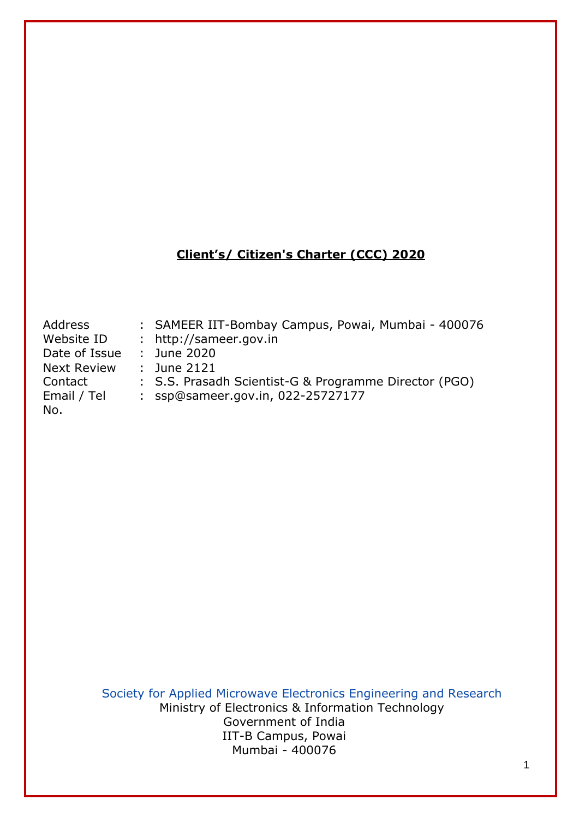### **Client's/ Citizen's Charter (CCC) 2020**

Address : SAMEER IIT-Bombay Campus, Powai, Mumbai - 400076 Website ID : [http://sameer.gov.in](http://sameer.gov.in/) Date of Issue : June 2020 Next Review : June 2121 Contact : S.S. Prasadh Scientist-G & Programme Director (PGO) Email / Tel : [ssp@sameer.gov.in,](mailto:ssp@sameer.gov.in) 022-25727177 No.

> Society for Applied Microwave Electronics Engineering and Research Ministry of Electronics & Information Technology Government of India IIT-B Campus, Powai Mumbai - 400076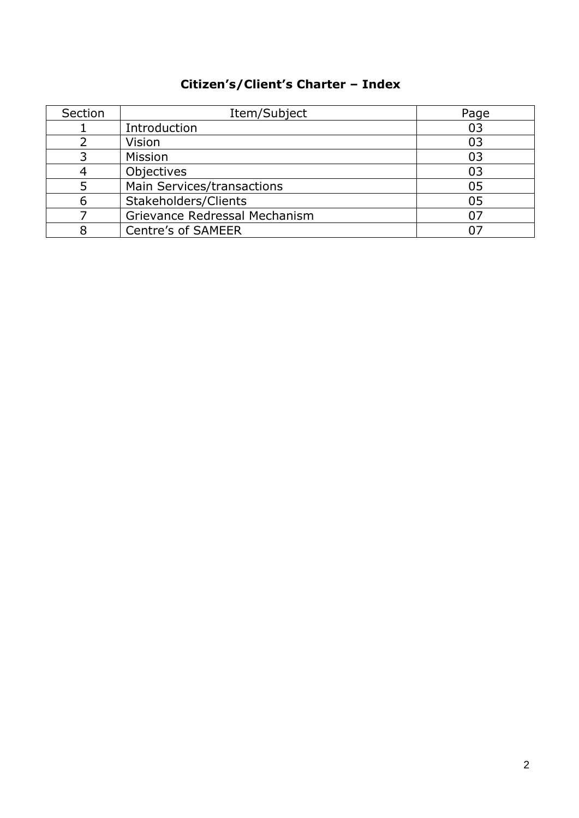# **Citizen's/Client's Charter – Index**

| Section | Item/Subject                  | Page |
|---------|-------------------------------|------|
|         | Introduction                  | 03   |
|         | Vision                        | 03   |
|         | Mission                       | 03   |
|         | Objectives                    | 03   |
|         | Main Services/transactions    | 05   |
|         | Stakeholders/Clients          | 05   |
|         | Grievance Redressal Mechanism |      |
|         | <b>Centre's of SAMEER</b>     |      |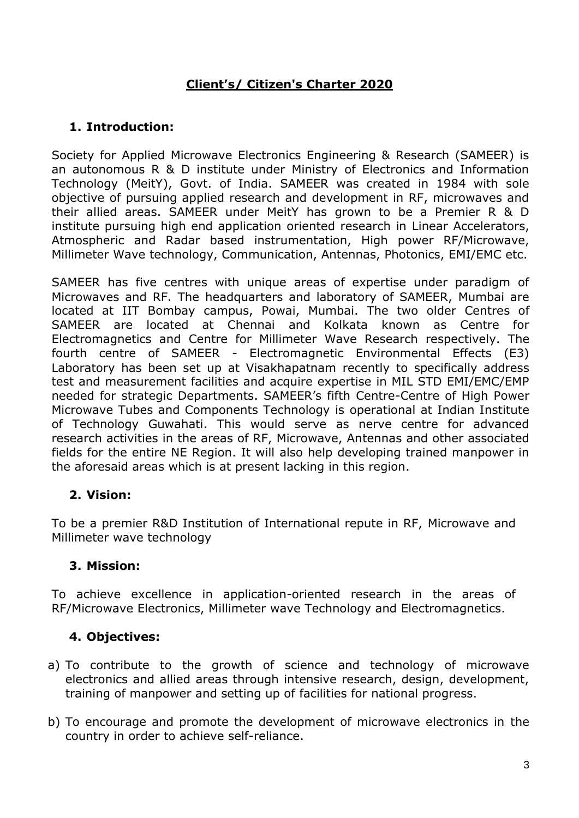## **Client's/ Citizen's Charter 2020**

### **1. Introduction:**

Society for Applied Microwave Electronics Engineering & Research (SAMEER) is an autonomous R & D institute under Ministry of Electronics and Information Technology (MeitY), Govt. of India. SAMEER was created in 1984 with sole objective of pursuing applied research and development in RF, microwaves and their allied areas. SAMEER under MeitY has grown to be a Premier R & D institute pursuing high end application oriented research in Linear Accelerators, Atmospheric and Radar based instrumentation, High power RF/Microwave, Millimeter Wave technology, Communication, Antennas, Photonics, EMI/EMC etc.

SAMEER has five centres with unique areas of expertise under paradigm of Microwaves and RF. The headquarters and laboratory of SAMEER, Mumbai are located at IIT Bombay campus, Powai, Mumbai. The two older Centres of SAMEER are located at Chennai and Kolkata known as Centre for Electromagnetics and Centre for Millimeter Wave Research respectively. The fourth centre of SAMEER - Electromagnetic Environmental Effects (E3) Laboratory has been set up at Visakhapatnam recently to specifically address test and measurement facilities and acquire expertise in MIL STD EMI/EMC/EMP needed for strategic Departments. SAMEER's fifth Centre-Centre of High Power Microwave Tubes and Components Technology is operational at Indian Institute of Technology Guwahati. This would serve as nerve centre for advanced research activities in the areas of RF, Microwave, Antennas and other associated fields for the entire NE Region. It will also help developing trained manpower in the aforesaid areas which is at present lacking in this region.

### **2. Vision:**

To be a premier R&D Institution of International repute in RF, Microwave and Millimeter wave technology

### **3. Mission:**

To achieve excellence in application-oriented research in the areas of RF/Microwave Electronics, Millimeter wave Technology and Electromagnetics.

### **4. Objectives:**

- a) To contribute to the growth of science and technology of microwave electronics and allied areas through intensive research, design, development, training of manpower and setting up of facilities for national progress.
- b) To encourage and promote the development of microwave electronics in the country in order to achieve self-reliance.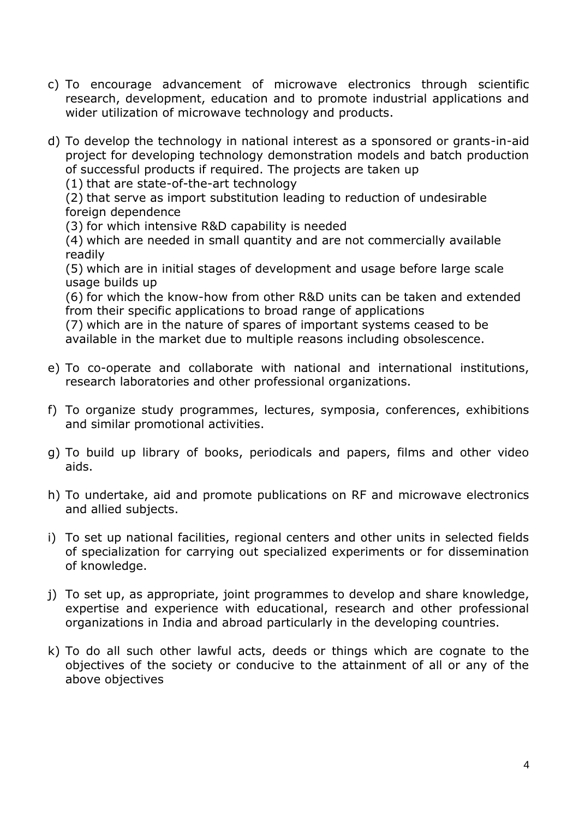- c) To encourage advancement of microwave electronics through scientific research, development, education and to promote industrial applications and wider utilization of microwave technology and products.
- d) To develop the technology in national interest as a sponsored or grants-in-aid project for developing technology demonstration models and batch production of successful products if required. The projects are taken up

(1) that are state-of-the-art technology

(2) that serve as import substitution leading to reduction of undesirable foreign dependence

(3) for which intensive R&D capability is needed

(4) which are needed in small quantity and are not commercially available readily

(5) which are in initial stages of development and usage before large scale usage builds up

(6) for which the know-how from other R&D units can be taken and extended from their specific applications to broad range of applications

(7) which are in the nature of spares of important systems ceased to be available in the market due to multiple reasons including obsolescence.

- e) To co-operate and collaborate with national and international institutions, research laboratories and other professional organizations.
- f) To organize study programmes, lectures, symposia, conferences, exhibitions and similar promotional activities.
- g) To build up library of books, periodicals and papers, films and other video aids.
- h) To undertake, aid and promote publications on RF and microwave electronics and allied subjects.
- i) To set up national facilities, regional centers and other units in selected fields of specialization for carrying out specialized experiments or for dissemination of knowledge.
- j) To set up, as appropriate, joint programmes to develop and share knowledge, expertise and experience with educational, research and other professional organizations in India and abroad particularly in the developing countries.
- k) To do all such other lawful acts, deeds or things which are cognate to the objectives of the society or conducive to the attainment of all or any of the above objectives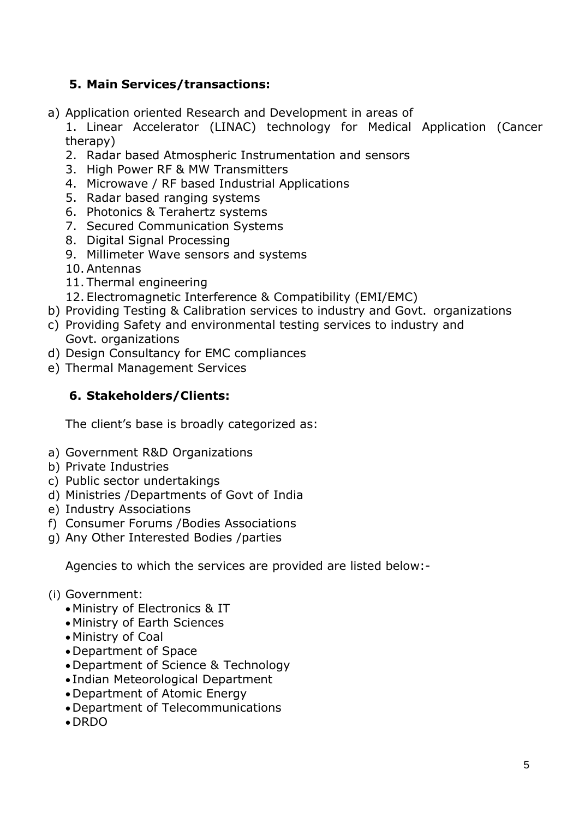### **5. Main Services/transactions:**

a) Application oriented Research and Development in areas of

1. Linear Accelerator (LINAC) technology for Medical Application (Cancer therapy)

- 2. Radar based Atmospheric Instrumentation and sensors
- 3. High Power RF & MW Transmitters
- 4. Microwave / RF based Industrial Applications
- 5. Radar based ranging systems
- 6. Photonics & Terahertz systems
- 7. Secured Communication Systems
- 8. Digital Signal Processing
- 9. Millimeter Wave sensors and systems
- 10. Antennas
- 11. Thermal engineering
- 12. Electromagnetic Interference & Compatibility (EMI/EMC)
- b) Providing Testing & Calibration services to industry and Govt. organizations
- c) Providing Safety and environmental testing services to industry and Govt. organizations
- d) Design Consultancy for EMC compliances
- e) Thermal Management Services

### **6. Stakeholders/Clients:**

The client's base is broadly categorized as:

- a) Government R&D Organizations
- b) Private Industries
- c) Public sector undertakings
- d) Ministries /Departments of Govt of India
- e) Industry Associations
- f) Consumer Forums /Bodies Associations
- g) Any Other Interested Bodies /parties

Agencies to which the services are provided are listed below:-

- (i) Government:
	- Ministry of Electronics & IT
	- Ministry of Earth Sciences
	- Ministry of Coal
	- Department of Space
	- Department of Science & Technology
	- Indian Meteorological Department
	- Department of Atomic Energy
	- Department of Telecommunications
	- DRDO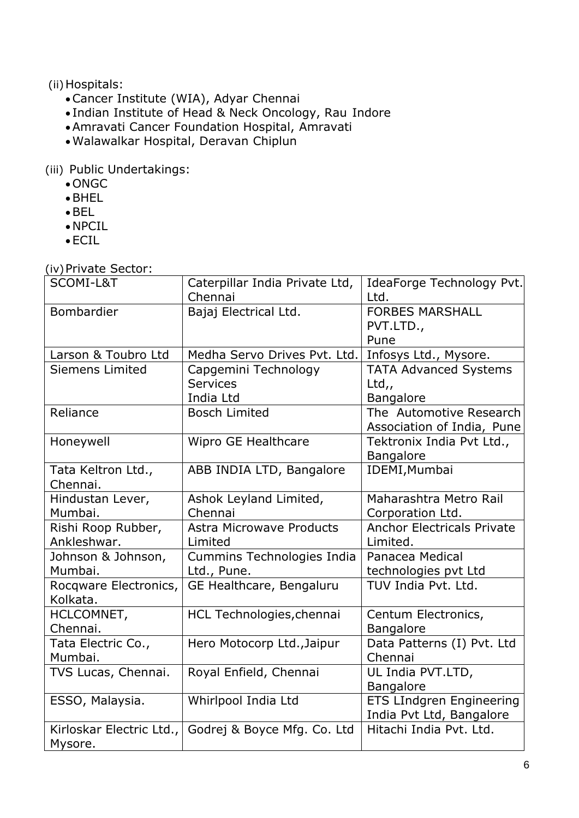(ii) Hospitals:

- •Cancer Institute (WIA), Adyar Chennai
- Indian Institute of Head & Neck Oncology, Rau Indore
- •Amravati Cancer Foundation Hospital, Amravati
- •Walawalkar Hospital, Deravan Chiplun

(iii) Public Undertakings:

- ONGC
- •BHEL
- •BEL
- NPCIL
- ECIL

(iv)Private Sector:

| SCOMI-L&T                         | Caterpillar India Private Ltd,<br>Chennai | IdeaForge Technology Pvt.<br>Ltd.   |
|-----------------------------------|-------------------------------------------|-------------------------------------|
| Bombardier                        | Bajaj Electrical Ltd.                     | <b>FORBES MARSHALL</b><br>PVT.LTD., |
|                                   |                                           | Pune                                |
| Larson & Toubro Ltd               | Medha Servo Drives Pvt. Ltd.              | Infosys Ltd., Mysore.               |
| <b>Siemens Limited</b>            | Capgemini Technology                      | <b>TATA Advanced Systems</b>        |
|                                   | <b>Services</b>                           | Ltd,,                               |
|                                   | India Ltd                                 | Bangalore                           |
| Reliance                          | <b>Bosch Limited</b>                      | The Automotive Research             |
|                                   |                                           | Association of India, Pune          |
| Honeywell                         | Wipro GE Healthcare                       | Tektronix India Pvt Ltd.,           |
|                                   |                                           | Bangalore                           |
| Tata Keltron Ltd.,                | ABB INDIA LTD, Bangalore                  | IDEMI, Mumbai                       |
| Chennai.                          |                                           |                                     |
| Hindustan Lever,                  | Ashok Leyland Limited,                    | Maharashtra Metro Rail              |
| Mumbai.                           | Chennai                                   | Corporation Ltd.                    |
| Rishi Roop Rubber,                | <b>Astra Microwave Products</b>           | <b>Anchor Electricals Private</b>   |
| Ankleshwar.                       | Limited                                   | Limited.                            |
| Johnson & Johnson,                | Cummins Technologies India                | Panacea Medical                     |
| Mumbai.                           | Ltd., Pune.                               | technologies pvt Ltd                |
| Rocqware Electronics,<br>Kolkata. | GE Healthcare, Bengaluru                  | TUV India Pvt. Ltd.                 |
| HCLCOMNET,<br>Chennai.            | HCL Technologies, chennai                 | Centum Electronics,<br>Bangalore    |
| Tata Electric Co.,                | Hero Motocorp Ltd., Jaipur                | Data Patterns (I) Pvt. Ltd          |
| Mumbai.                           |                                           | Chennai                             |
| TVS Lucas, Chennai.               | Royal Enfield, Chennai                    | UL India PVT.LTD,                   |
|                                   |                                           | Bangalore                           |
| ESSO, Malaysia.                   | Whirlpool India Ltd                       | <b>ETS LIndgren Engineering</b>     |
|                                   |                                           | India Pvt Ltd, Bangalore            |
| Kirloskar Electric Ltd.,          | Godrej & Boyce Mfg. Co. Ltd               | Hitachi India Pyt. Ltd.             |
| Mysore.                           |                                           |                                     |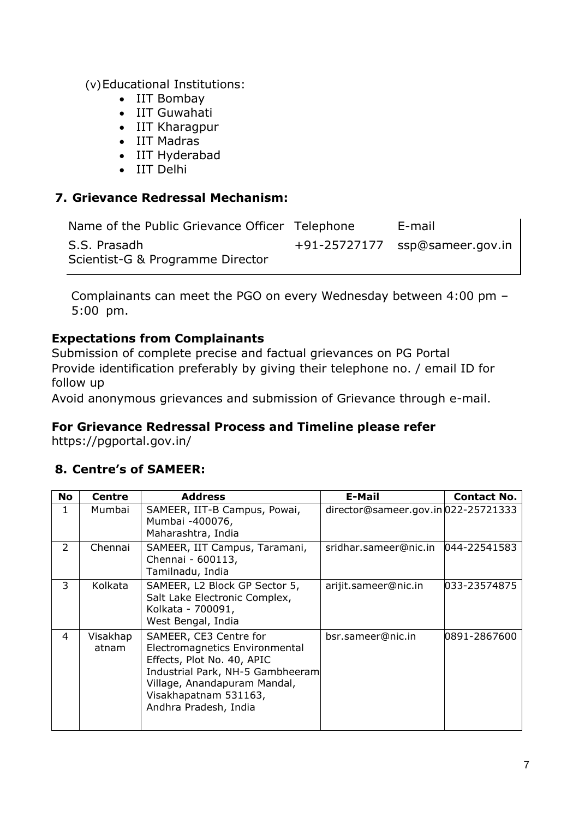(v)Educational Institutions:

- IIT Bombay
- IIT Guwahati
- IIT Kharagpur
- IIT Madras
- IIT Hyderabad
- IIT Delhi

### **7. Grievance Redressal Mechanism:**

| Name of the Public Grievance Officer Telephone   | E-mail                         |
|--------------------------------------------------|--------------------------------|
| S.S. Prasadh<br>Scientist-G & Programme Director | +91-25727177 ssp@sameer.gov.in |

Complainants can meet the PGO on every Wednesday between 4:00 pm – 5:00 pm.

### **Expectations from Complainants**

Submission of complete precise and factual grievances on PG Portal Provide identification preferably by giving their telephone no. / email ID for follow up

Avoid anonymous grievances and submission of Grievance through e-mail.

#### **For Grievance Redressal Process and Timeline please refer**

https://pgportal.gov.in/

### **8. Centre's of SAMEER:**

| <b>No</b>     | <b>Centre</b>     | <b>Address</b>                                                                                                                                                                                               | <b>E-Mail</b>                       | <b>Contact No.</b> |
|---------------|-------------------|--------------------------------------------------------------------------------------------------------------------------------------------------------------------------------------------------------------|-------------------------------------|--------------------|
|               | Mumbai            | SAMEER, IIT-B Campus, Powai,<br>Mumbai -400076,<br>Maharashtra, India                                                                                                                                        | director@sameer.gov.in 022-25721333 |                    |
| $\mathcal{P}$ | Chennai           | SAMEER, IIT Campus, Taramani,<br>Chennai - 600113,<br>Tamilnadu, India                                                                                                                                       | sridhar.sameer@nic.in               | 044-22541583       |
| 3             | Kolkata           | SAMEER, L2 Block GP Sector 5,<br>Salt Lake Electronic Complex,<br>Kolkata - 700091,<br>West Bengal, India                                                                                                    | arijit.sameer@nic.in                | 033-23574875       |
| 4             | Visakhap<br>atnam | SAMEER, CE3 Centre for<br>Electromagnetics Environmental<br>Effects, Plot No. 40, APIC<br>Industrial Park, NH-5 Gambheeram<br>Village, Anandapuram Mandal,<br>Visakhapatnam 531163,<br>Andhra Pradesh, India | bsr.sameer@nic.in                   | 0891-2867600       |